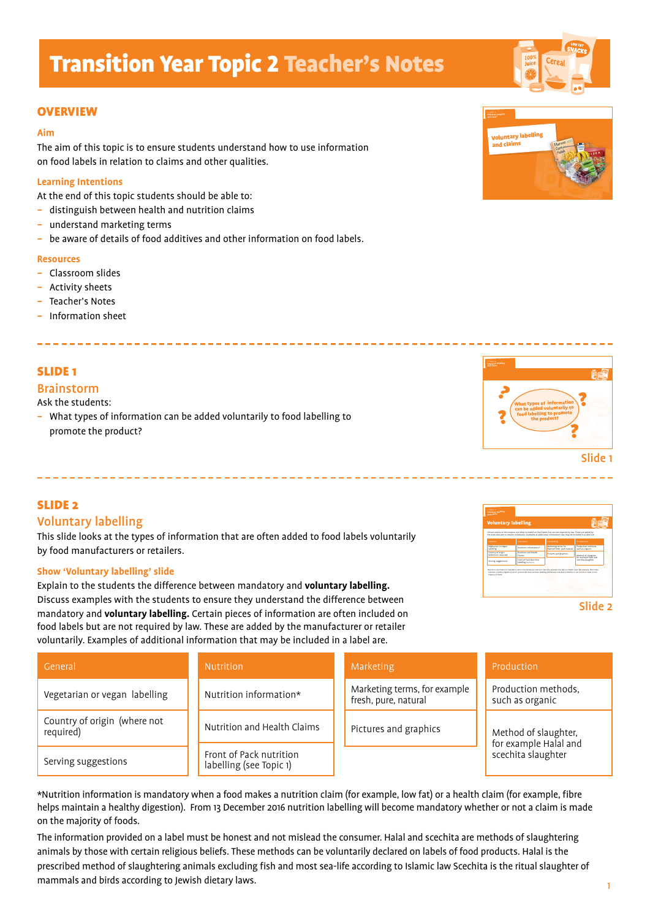### **OVERVIEW**

#### **Aim**

The aim of this topic is to ensure students understand how to use information on food labels in relation to claims and other qualities.

#### **Learning Intentions**

At the end of this topic students should be able to:

- *–* distinguish between health and nutrition claims
- *–* understand marketing terms
- *–* be aware of details of food additives and other information on food labels.

#### **Resources**

- *–* Classroom slides
- *–* Activity sheets
- *–* Teacher's Notes
- *–* Information sheet

## SLIDE 1

#### Brainstorm

Ask the students:

*–* What types of information can be added voluntarily to food labelling to promote the product?

## SLIDE 2

## Voluntary labelling

This slide looks at the types of information that are often added to food labels voluntarily by food manufacturers or retailers.

#### **Show 'Voluntary labelling' slide**

Explain to the students the difference between mandatory and **voluntary labelling.** Discuss examples with the students to ensure they understand the difference between mandatory and **voluntary labelling.** Certain pieces of information are often included on food labels but are not required by law. These are added by the manufacturer or retailer voluntarily. Examples of additional information that may be included in a label are.





| General                                   | <b>Nutrition</b>                                   | Marketing                                            | Production                                    |
|-------------------------------------------|----------------------------------------------------|------------------------------------------------------|-----------------------------------------------|
| Vegetarian or vegan labelling             | Nutrition information*                             | Marketing terms, for example<br>fresh, pure, natural | Production methods,<br>such as organic        |
| Country of origin (where not<br>required) | Nutrition and Health Claims                        | Pictures and graphics                                | Method of slaughter,<br>for example Halal and |
| Serving suggestions                       | Front of Pack nutrition<br>labelling (see Topic 1) |                                                      | scechita slaughter                            |

\*Nutrition information is mandatory when a food makes a nutrition claim (for example, low fat) or a health claim (for example, fibre helps maintain a healthy digestion). From 13 December 2016 nutrition labelling will become mandatory whether or not a claim is made on the majority of foods.

The information provided on a label must be honest and not mislead the consumer. Halal and scechita are methods of slaughtering animals by those with certain religious beliefs. These methods can be voluntarily declared on labels of food products. Halal is the prescribed method of slaughtering animals excluding fish and most sea-life according to Islamic law Scechita is the ritual slaughter of mammals and birds according to Jewish dietary laws.



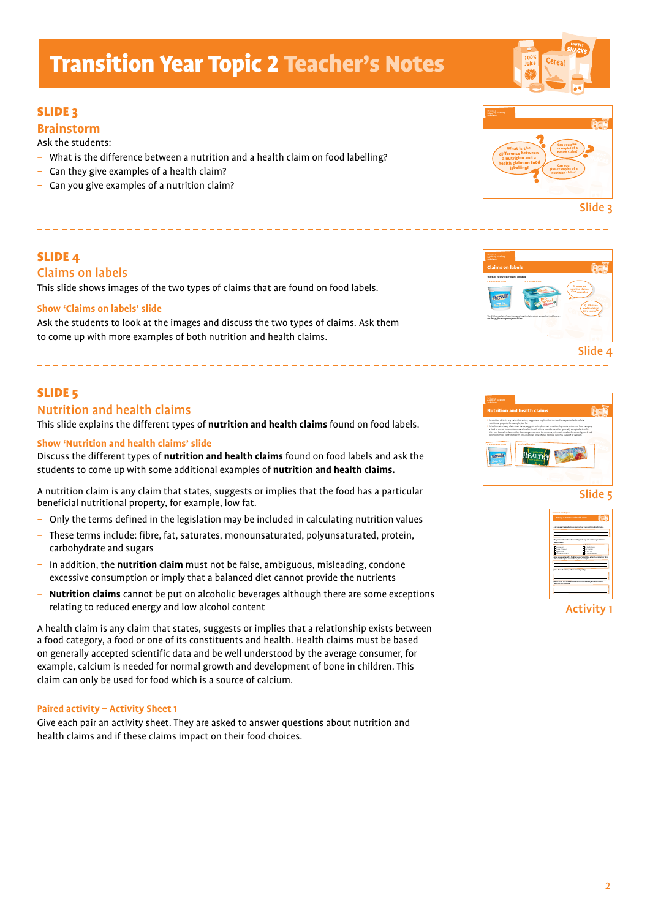## SLIDE 3

## **Brainstorm**

Ask the students:

- What is the difference between a nutrition and a health claim on food labelling?
- Can they give examples of a health claim?
- Can you give examples of a nutrition claim?

## SLIDE 4

## Claims on labels

This slide shows images of the two types of claims that are found on food labels.

#### **Show 'Claims on labels' slide**

Ask the students to look at the images and discuss the two types of claims. Ask them to come up with more examples of both nutrition and health claims.

## SLIDE 5

## Nutrition and health claims

This slide explains the different types of **nutrition and health claims** found on food labels.

#### **Show 'Nutrition and health claims' slide**

Discuss the different types of **nutrition and health claims** found on food labels and ask the students to come up with some additional examples of **nutrition and health claims.**

A nutrition claim is any claim that states, suggests or implies that the food has a particular beneficial nutritional property, for example, low fat.

- *–* Only the terms defined in the legislation may be included in calculating nutrition values
- *–* These terms include: fibre, fat, saturates, monounsaturated, polyunsaturated, protein, carbohydrate and sugars
- *–* In addition, the **nutrition claim** must not be false, ambiguous, misleading, condone excessive consumption or imply that a balanced diet cannot provide the nutrients
- *–* **Nutrition claims** cannot be put on alcoholic beverages although there are some exceptions relating to reduced energy and low alcohol content

A health claim is any claim that states, suggests or implies that a relationship exists between a food category, a food or one of its constituents and health. Health claims must be based on generally accepted scientific data and be well understood by the average consumer, for example, calcium is needed for normal growth and development of bone in children. This claim can only be used for food which is a source of calcium.

#### **Paired activity – Activity Sheet 1**

Give each pair an activity sheet. They are asked to answer questions about nutrition and health claims and if these claims impact on their food choices.



Claims on labels **There are two types of claims on label 1. A nutrition claim 2. A health claim**

The EU have a list of nutrition and health claims that are authorised for use, see: **http://ec.europa.eu/nuhclaims**

Slide 3

**Q. What are nutrition claims?**  Give example **Q. What are** 







Activity 1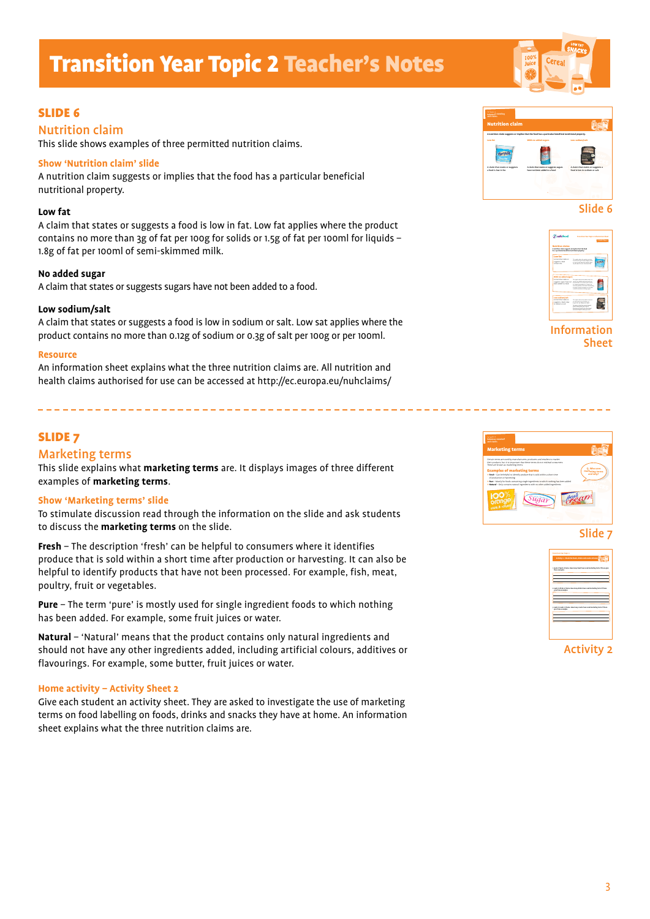## SLIDE 6

## Nutrition claim

This slide shows examples of three permitted nutrition claims.

#### **Show 'Nutrition claim' slide**

A nutrition claim suggests or implies that the food has a particular beneficial nutritional property.

#### **Low fat**

A claim that states or suggests a food is low in fat. Low fat applies where the product contains no more than 3g of fat per 100g for solids or 1.5g of fat per 100ml for liquids – 1.8g of fat per 100ml of semi-skimmed milk.

#### **No added sugar**

A claim that states or suggests sugars have not been added to a food.

#### **Low sodium/salt**

A claim that states or suggests a food is low in sodium or salt. Low sat applies where the product contains no more than 0.12g of sodium or 0.3g of salt per 100g or per 100ml.

#### **Resource**

An information sheet explains what the three nutrition claims are. All nutrition and health claims authorised for use can be accessed at http://ec.europa.eu/nuhclaims/

## SLIDE 7

### Marketing terms

This slide explains what **marketing terms** are. It displays images of three different examples of **marketing terms**.

#### **Show 'Marketing terms' slide**

To stimulate discussion read through the information on the slide and ask students to discuss the **marketing terms** on the slide.

**Fresh** – The description 'fresh' can be helpful to consumers where it identifies produce that is sold within a short time after production or harvesting. It can also be helpful to identify products that have not been processed. For example, fish, meat, poultry, fruit or vegetables.

**Pure** – The term 'pure' is mostly used for single ingredient foods to which nothing has been added. For example, some fruit juices or water.

**Natural** – 'Natural' means that the product contains only natural ingredients and should not have any other ingredients added, including artificial colours, additives or flavourings. For example, some butter, fruit juices or water.

#### **Home activity – Activity Sheet 2**

Give each student an activity sheet. They are asked to investigate the use of marketing terms on food labelling on foods, drinks and snacks they have at home. An information sheet explains what the three nutrition claims are.



Slide 6



Information Sheet



Slide 7



Activity 2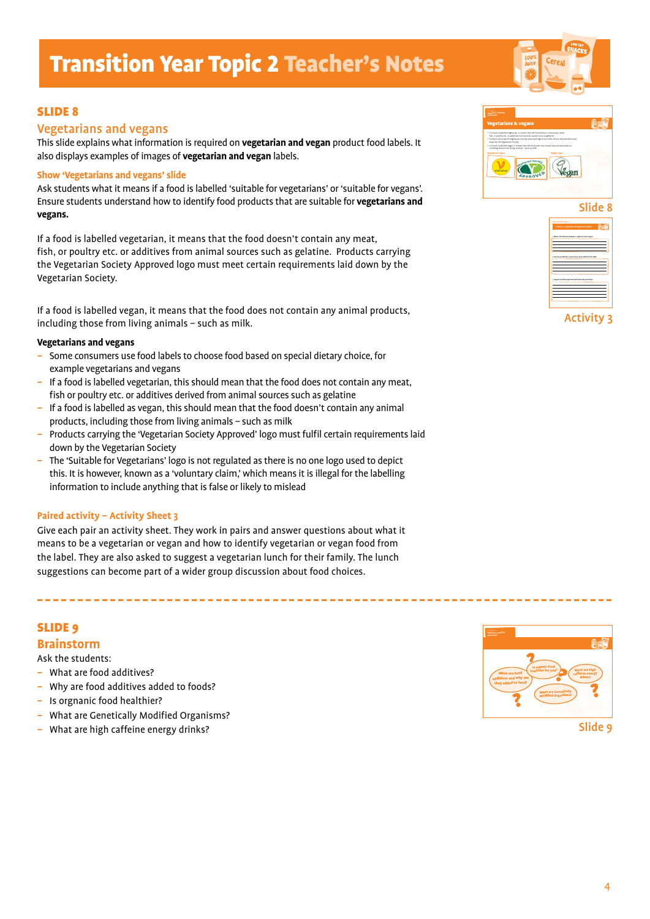## SLIDE 8

### Vegetarians and vegans

This slide explains what information is required on **vegetarian and vegan** product food labels. It also displays examples of images of **vegetarian and vegan** labels.

#### **Show 'Vegetarians and vegans' slide**

Ask students what it means if a food is labelled 'suitable for vegetarians' or 'suitable for vegans'. Ensure students understand how to identify food products that are suitable for **vegetarians and vegans.**

If a food is labelled vegetarian, it means that the food doesn't contain any meat, fish, or poultry etc. or additives from animal sources such as gelatine. Products carrying the Vegetarian Society Approved logo must meet certain requirements laid down by the Vegetarian Society.

If a food is labelled vegan, it means that the food does not contain any animal products, including those from living animals – such as milk.

#### **Vegetarians and vegans**

- Some consumers use food labels to choose food based on special dietary choice, for example vegetarians and vegans
- If a food is labelled vegetarian, this should mean that the food does not contain any meat, fish or poultry etc. or additives derived from animal sources such as gelatine
- If a food is labelled as vegan, this should mean that the food doesn't contain any animal products, including those from living animals – such as milk
- Products carrying the 'Vegetarian Society Approved' logo must fulfil certain requirements laid down by the Vegetarian Society
- The 'Suitable for Vegetarians' logo is not regulated as there is no one logo used to depict this. It is however, known as a 'voluntary claim,' which means it is illegal for the labelling information to include anything that is false or likely to mislead

#### **Paired activity – Activity Sheet 3**

Give each pair an activity sheet. They work in pairs and answer questions about what it means to be a vegetarian or vegan and how to identify vegetarian or vegan food from the label. They are also asked to suggest a vegetarian lunch for their family. The lunch suggestions can become part of a wider group discussion about food choices.

### SLIDE 9

#### **Brainstorm**

Ask the students:

- What are food additives?
- Why are food additives added to foods?
- Is orgnanic food healthier?
- What are Genetically Modified Organisms?
- What are high caffeine energy drinks?



Slide 9





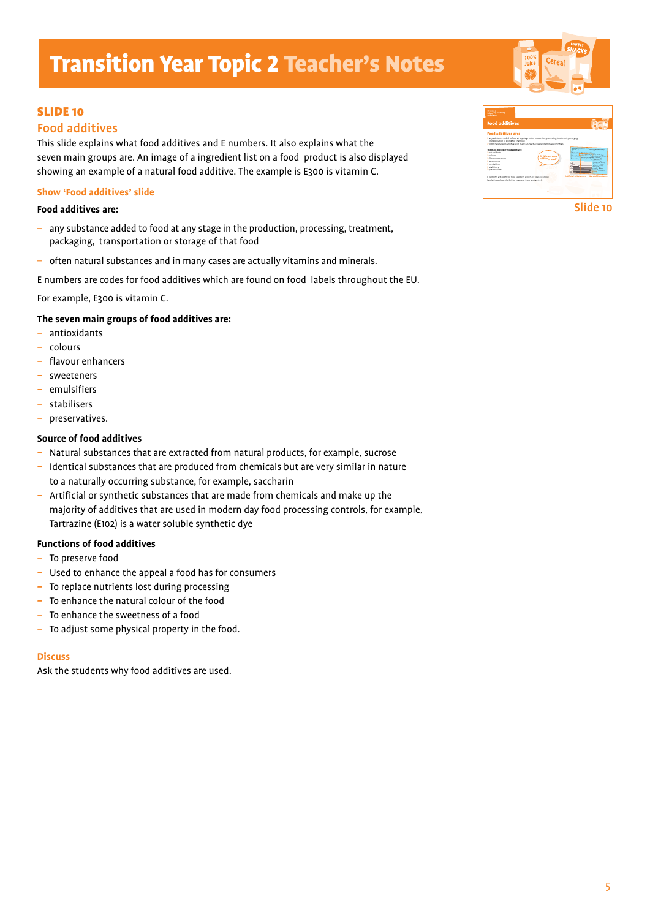## SLIDE 10

## Food additives

This slide explains what food additives and E numbers. It also explains what the seven main groups are. An image of a ingredient list on a food product is also displayed showing an example of a natural food additive. The example is E300 is vitamin C.

#### **Show 'Food additives' slide**

### **Food additives are:**

- any substance added to food at any stage in the production, processing, treatment, packaging, transportation or storage of that food
- often natural substances and in many cases are actually vitamins and minerals.

E numbers are codes for food additives which are found on food labels throughout the EU.

For example, E300 is vitamin C.

### **The seven main groups of food additives are:**

- antioxidants
- colours
- flavour enhancers
- sweeteners
- emulsifiers
- stabilisers
- preservatives.

#### **Source of food additives**

- Natural substances that are extracted from natural products, for example, sucrose
- Identical substances that are produced from chemicals but are very similar in nature to a naturally occurring substance, for example, saccharin
- Artificial or synthetic substances that are made from chemicals and make up the majority of additives that are used in modern day food processing controls, for example, Tartrazine (E102) is a water soluble synthetic dye

#### **Functions of food additives**

- To preserve food
- Used to enhance the appeal a food has for consumers
- To replace nutrients lost during processing
- To enhance the natural colour of the food
- To enhance the sweetness of a food
- To adjust some physical property in the food.

#### **Discuss**

Ask the students why food additives are used.



Slide 10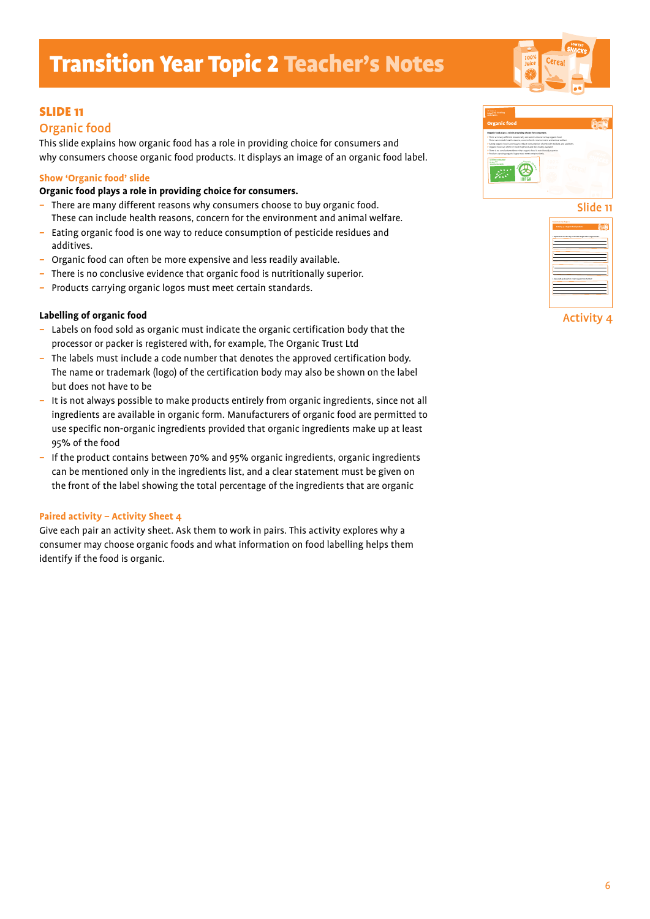## SLIDE 11

### Organic food

This slide explains how organic food has a role in providing choice for consumers and why consumers choose organic food products. It displays an image of an organic food label.

#### **Show 'Organic food' slide**

#### **Organic food plays a role in providing choice for consumers.**

- There are many different reasons why consumers choose to buy organic food. These can include health reasons, concern for the environment and animal welfare.
- Eating organic food is one way to reduce consumption of pesticide residues and additives.
- Organic food can often be more expensive and less readily available.
- There is no conclusive evidence that organic food is nutritionally superior.
- Products carrying organic logos must meet certain standards.

#### **Labelling of organic food**

- Labels on food sold as organic must indicate the organic certification body that the processor or packer is registered with, for example, The Organic Trust Ltd
- The labels must include a code number that denotes the approved certification body. The name or trademark (logo) of the certification body may also be shown on the label but does not have to be
- It is not always possible to make products entirely from organic ingredients, since not all ingredients are available in organic form. Manufacturers of organic food are permitted to use specific non-organic ingredients provided that organic ingredients make up at least 95% of the food
- If the product contains between 70% and 95% organic ingredients, organic ingredients can be mentioned only in the ingredients list, and a clear statement must be given on the front of the label showing the total percentage of the ingredients that are organic

#### **Paired activity – Activity Sheet 4**

Give each pair an activity sheet. Ask them to work in pairs. This activity explores why a consumer may choose organic foods and what information on food labelling helps them identify if the food is organic.





Activity 4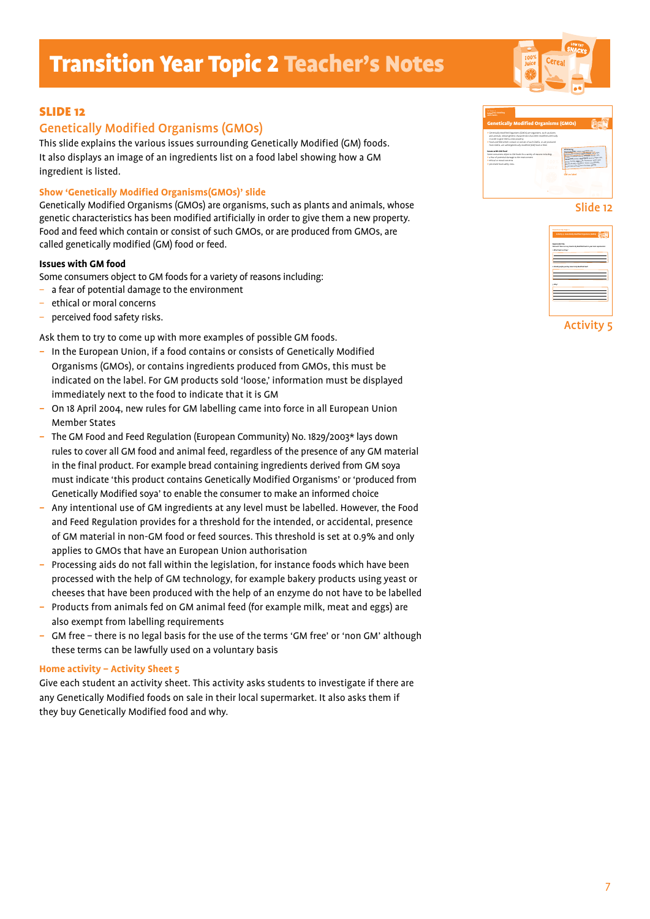## SLIDE 12

## Genetically Modified Organisms (GMOs)

This slide explains the various issues surrounding Genetically Modified (GM) foods. It also displays an image of an ingredients list on a food label showing how a GM ingredient is listed.

#### **Show 'Genetically Modified Organisms(GMOs)' slide**

Genetically Modified Organisms (GMOs) are organisms, such as plants and animals, whose genetic characteristics has been modified artificially in order to give them a new property. Food and feed which contain or consist of such GMOs, or are produced from GMOs, are called genetically modified (GM) food or feed.

#### **Issues with GM food**

Some consumers object to GM foods for a variety of reasons including:

- a fear of potential damage to the environment
- ethical or moral concerns
- perceived food safety risks.

Ask them to try to come up with more examples of possible GM foods.

- In the European Union, if a food contains or consists of Genetically Modified Organisms (GMOs), or contains ingredients produced from GMOs, this must be indicated on the label. For GM products sold 'loose,' information must be displayed immediately next to the food to indicate that it is GM
- On 18 April 2004, new rules for GM labelling came into force in all European Union Member States
- The GM Food and Feed Regulation (European Community) No. 1829/2003\* lays down rules to cover all GM food and animal feed, regardless of the presence of any GM material in the final product. For example bread containing ingredients derived from GM soya must indicate 'this product contains Genetically Modified Organisms' or 'produced from Genetically Modified soya' to enable the consumer to make an informed choice
- Any intentional use of GM ingredients at any level must be labelled. However, the Food and Feed Regulation provides for a threshold for the intended, or accidental, presence of GM material in non-GM food or feed sources. This threshold is set at 0.9% and only applies to GMOs that have an European Union authorisation
- Processing aids do not fall within the legislation, for instance foods which have been processed with the help of GM technology, for example bakery products using yeast or cheeses that have been produced with the help of an enzyme do not have to be labelled
- Products from animals fed on GM animal feed (for example milk, meat and eggs) are also exempt from labelling requirements
- GM free there is no legal basis for the use of the terms 'GM free' or 'non GM' although these terms can be lawfully used on a voluntary basis

#### **Home activity – Activity Sheet 5**

Give each student an activity sheet. This activity asks students to investigate if there are any Genetically Modified foods on sale in their local supermarket. It also asks them if they buy Genetically Modified food and why.



#### Slide 12



Activity 5